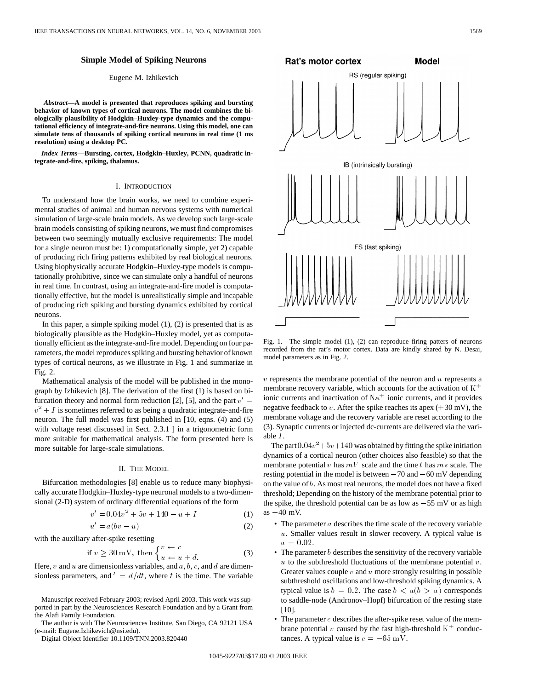# **Simple Model of Spiking Neurons**

## Eugene M. Izhikevich

*Abstract—***A model is presented that reproduces spiking and bursting behavior of known types of cortical neurons. The model combines the biologically plausibility of Hodgkin–Huxley-type dynamics and the computational efficiency of integrate-and-fire neurons. Using this model, one can simulate tens of thousands of spiking cortical neurons in real time (1 ms resolution) using a desktop PC.**

*Index Terms—***Bursting, cortex, Hodgkin–Huxley, PCNN, quadratic integrate-and-fire, spiking, thalamus.**

#### I. INTRODUCTION

To understand how the brain works, we need to combine experimental studies of animal and human nervous systems with numerical simulation of large-scale brain models. As we develop such large-scale brain models consisting of spiking neurons, we must find compromises between two seemingly mutually exclusive requirements: The model for a single neuron must be: 1) computationally simple, yet 2) capable of producing rich firing patterns exhibited by real biological neurons. Using biophysically accurate Hodgkin–Huxley-type models is computationally prohibitive, since we can simulate only a handful of neurons in real time. In contrast, using an integrate-and-fire model is computationally effective, but the model is unrealistically simple and incapable of producing rich spiking and bursting dynamics exhibited by cortical neurons.

In this paper, a simple spiking model  $(1)$ ,  $(2)$  is presented that is as biologically plausible as the Hodgkin–Huxley model, yet as computationally efficient as the integrate-and-fire model. Depending on four parameters, the model reproduces spiking and bursting behavior of known types of cortical neurons, as we illustrate in Fig. 1 and summarize in Fig. 2.

Mathematical analysis of the model will be published in the monograph by Izhikevich [8]. The derivation of the first (1) is based on bifurcation theory and normal form reduction [2], [5], and the part  $v' =$  $v^2 + I$  is sometimes referred to as being a quadratic integrate-and-fire neuron. The full model was first published in [10, eqns. (4) and (5) with voltage reset discussed in Sect. 2.3.1 ] in a trigonometric form more suitable for mathematical analysis. The form presented here is more suitable for large-scale simulations.

## II. THE MODEL

Bifurcation methodologies [8] enable us to reduce many biophysi-<br>
lly accurate Hodgkin-Huxley-type neuronal models to a two-dimen-<br>
nal (2-D) system of ordinary differential equations of the form<br>  $v' = 0.04v^2 + 5v + 140 - u +$ cally accurate Hodgkin–Huxley-type neuronal models to a two-dimensional (2-D) system of ordinary differential equations of the form lgkin–Huxley-type neuronal models to a two-dimen-<br>m of ordinary differential equations of the form<br> $v' = 0.04v^2 + 5v + 140 - u + I$  (1)<br> $u' = a(bv - u)$  (2)

$$
v' = 0.04v2 + 5v + 140 - u + I
$$
 (1)

$$
u' = a(bv - u) \tag{2}
$$

with the auxiliary after-spike resetting

if 
$$
v \ge 30 \text{ mV}
$$
, then 
$$
\begin{cases} v \leftarrow c \\ u \leftarrow u + d. \end{cases}
$$
 (3)

Here,  $v$  and  $u$  are dimensionless variables, and  $a$ ,  $b$ ,  $c$ , and  $d$  are dimensionless parameters, and  $' = d/dt$ , where t is the time. The variable

Manuscript received February 2003; revised April 2003. This work was supported in part by the Neurosciences Research Foundation and by a Grant from the Alafi Family Foundation.

The author is with The Neurosciences Institute, San Diego, CA 92121 USA (e-mail: Eugene.Izhikevich@nsi.edu).

Digital Object Identifier 10.1109/TNN.2003.820440



Fig. 1. The simple model (1), (2) can reproduce firing patters of neurons recorded from the rat's motor cortex. Data are kindly shared by N. Desai, model parameters as in Fig. 2.

 $v$  represents the membrane potential of the neuron and  $u$  represents a membrane recovery variable, which accounts for the activation of  $K^+$ ionic currents and inactivation of  $\mathrm{Na}^+$  ionic currents, and it provides negative feedback to  $v$ . After the spike reaches its apex  $(+30 \text{ mV})$ , the membrane voltage and the recovery variable are reset according to the (3). Synaptic currents or injected dc-currents are delivered via the variable I.

The part  $0.04v^2+5v+140$  was obtained by fitting the spike initiation dynamics of a cortical neuron (other choices also feasible) so that the membrane potential  $v$  has  $mV$  scale and the time  $t$  has  $ms$  scale. The resting potential in the model is between  $-70$  and  $-60$  mV depending on the value of b. As most real neurons, the model does not have a fixed threshold; Depending on the history of the membrane potential prior to the spike, the threshold potential can be as low as  $-55$  mV or as high as  $-40$  mV.

- The parameter  $a$  describes the time scale of the recovery variable  $u$ . Smaller values result in slower recovery. A typical value is  $a = 0.02$ .
- The parameter  $b$  describes the sensitivity of the recovery variable  $u$  to the subthreshold fluctuations of the membrane potential  $v$ . Greater values couple  $v$  and  $u$  more strongly resulting in possible subthreshold oscillations and low-threshold spiking dynamics. A typical value is  $b = 0.2$ . The case  $b < a(b > a)$  corresponds to saddle-node (Andronov–Hopf) bifurcation of the resting state [10].
- The parameter  $c$  describes the after-spike reset value of the membrane potential v caused by the fast high-threshold  $K^+$  conductances. A typical value is  $c = -65$  mV.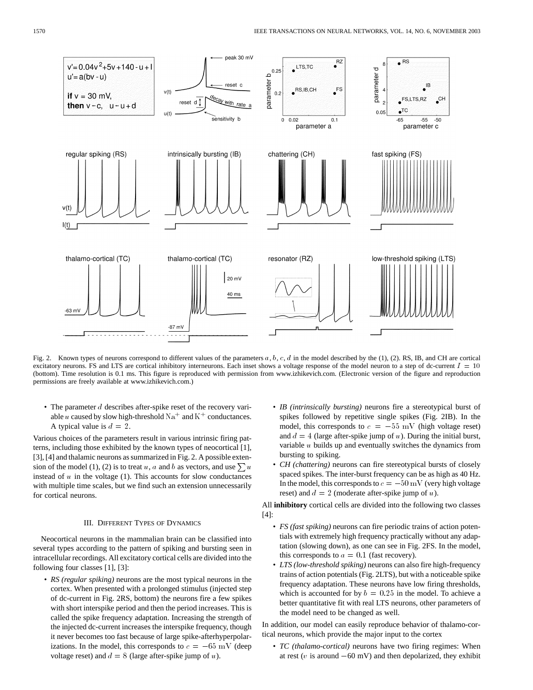

Fig. 2. Known types of neurons correspond to different values of the parameters a, b, c, d in the model described by the (1), (2). RS, IB, and CH are cortical excitatory neurons. FS and LTS are cortical inhibitory interneurons. Each inset shows a voltage response of the model neuron to a step of dc-current  $I = 10$ (bottom). Time resolution is 0.1 ms. This figure is reproduced with permission from www.izhikevich.com. (Electronic version of the figure and reproduction permissions are freely available at www.izhikevich.com.)

• The parameter  $d$  describes after-spike reset of the recovery variable u caused by slow high-threshold  $\mathrm{Na}^+$  and  $\mathrm{K}^+$  conductances. A typical value is  $d = 2$ .

Various choices of the parameters result in various intrinsic firing patterns, including those exhibited by the known types of neocortical [1], [3], [4] and thalamic neurons as summarized in Fig. 2. A possible extension of the model (1), (2) is to treat u, a and b as vectors, and use  $\sum u$ instead of  $u$  in the voltage (1). This accounts for slow conductances with multiple time scales, but we find such an extension unnecessarily for cortical neurons.

#### III. DIFFERENT TYPES OF DYNAMICS

Neocortical neurons in the mammalian brain can be classified into several types according to the pattern of spiking and bursting seen in intracellular recordings. All excitatory cortical cells are divided into the following four classes [1], [3]:

• *RS (regular spiking)* neurons are the most typical neurons in the cortex. When presented with a prolonged stimulus (injected step of dc-current in Fig. 2RS, bottom) the neurons fire a few spikes with short interspike period and then the period increases. This is called the spike frequency adaptation. Increasing the strength of the injected dc-current increases the interspike frequency, though it never becomes too fast because of large spike-afterhyperpolarwhile short interspond gradient increases. This is<br>called the spike frequency adaptation. Increasing the strength of<br>the injected dc-current increases the interspike frequency, though<br>it never becomes too fast because of voltage reset) and  $d = 8$  (large after-spike jump of u).

- *IB (intrinsically bursting)* neurons fire a stereotypical burst of spikes followed by repetitive single spikes (Fig. 2IB). In the model, this corresponds to  $c = -55$  mV (high voltage reset) and  $d = 4$  (large after-spike jump of u). During the initial burst, variable  $u$  builds up and eventually switches the dynamics from bursting to spiking.
- *CH (chattering)* neurons can fire stereotypical bursts of closely spaced spikes. The inter-burst frequency can be as high as 40 Hz. In the model, this corresponds to  $c = -50$  mV (very high voltage reset) and  $d = 2$  (moderate after-spike jump of u).

All **inhibitory** cortical cells are divided into the following two classes [4]:

- *FS (fast spiking)* neurons can fire periodic trains of action potentials with extremely high frequency practically without any adaptation (slowing down), as one can see in Fig. 2FS. In the model, this corresponds to  $a = 0.1$  (fast recovery).
- *LTS (low-threshold spiking)* neurons can also fire high-frequency trains of action potentials (Fig. 2LTS), but with a noticeable spike frequency adaptation. These neurons have low firing thresholds, which is accounted for by  $b = 0.25$  in the model. To achieve a better quantitative fit with real LTS neurons, other parameters of the model need to be changed as well.

In addition, our model can easily reproduce behavior of thalamo-cortical neurons, which provide the major input to the cortex

• *TC (thalamo-cortical)* neurons have two firing regimes: When at rest ( $v$  is around  $-60$  mV) and then depolarized, they exhibit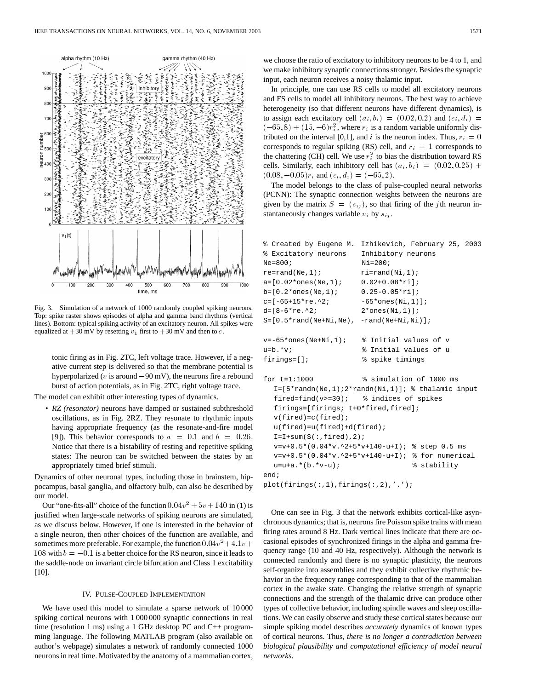

Fig. 3. Simulation of a network of 1000 randomly coupled spiking neurons. Top: spike raster shows episodes of alpha and gamma band rhythms (vertical lines). Bottom: typical spiking activity of an excitatory neuron. All spikes were equalized at  $+30$  mV by resetting  $v_1$  first to  $+30$  mV and then to  $c$ .

tonic firing as in Fig. 2TC, left voltage trace. However, if a negative current step is delivered so that the membrane potential is tonic firing as in Fig. 2TC, left voltage trace. However, if a negative current step is delivered so that the membrane potential is hyperpolarized ( $v$  is around  $-90$  mV), the neurons fire a rebound burst of action potentials, as in Fig. 2TC, right voltage trace.

The model can exhibit other interesting types of dynamics.

• *RZ (resonator)* neurons have damped or sustained subthreshold oscillations, as in Fig. 2RZ. They resonate to rhythmic inputs having appropriate frequency (as the resonate-and-fire model [9]). This behavior corresponds to  $a = 0.1$  and  $b = 0.26$ . Notice that there is a bistability of resting and repetitive spiking states: The neuron can be switched between the states by an appropriately timed brief stimuli.

Dynamics of other neuronal types, including those in brainstem, hippocampus, basal ganglia, and olfactory bulb, can also be described by our model.

Our "one-fits-all" choice of the function  $0.04v^2 + 5v + 140$  in (1) is justified when large-scale networks of spiking neurons are simulated, as we discuss below. However, if one is interested in the behavior of a single neuron, then other choices of the function are available, and sometimes more preferable. For example, the function  $0.04v^2 + 4.1v + 108$  with a single neuron, then other choices of the function are available, and sometimes more preferable. For example, the function  $0.04v^2 + 4.1v +$ the saddle-node on invariant circle bifurcation and Class 1 excitability [10].

## IV. PULSE-COUPLED IMPLEMENTATION

We have used this model to simulate a sparse network of 10 000 spiking cortical neurons with 1 000 000 synaptic connections in real time (resolution 1 ms) using a 1 GHz desktop PC and C++ programming language. The following MATLAB program (also available on author's webpage) simulates a network of randomly connected 1000 neurons in real time. Motivated by the anatomy of a mammalian cortex, we choose the ratio of excitatory to inhibitory neurons to be 4 to 1, and we make inhibitory synaptic connections stronger. Besides the synaptic input, each neuron receives a noisy thalamic input.

In principle, one can use RS cells to model all excitatory neurons and FS cells to model all inhibitory neurons. The best way to achieve heterogeneity (so that different neurons have different dynamics), is to assign each excitatory cell  $(a_i, b_i) = (0.02, 0.2)$  and  $(c_i, d_i) =$ and FS cells to model a<br>heterogeneity (so that to<br>to assign each excitato<br> $(-65,8) + (15,-6)r_i^2$  $(-65, 8) + (15, -6)r_i^2$ , where  $r_i$  is a random variable uniformly distributed on the interval [0,1], and i is the neuron index. Thus,  $r_i = 0$ corresponds to regular spiking (RS) cell, and  $r_i = 1$  corresponds to the chattering (CH) cell. We use  $r_i^2$  to bias the distribution toward RS cells. Similarly, each inhibitory cell has  $(a_i, b_i) = (0.02, 0.25) +$  $(0.08, -0.05)r_i$  and  $(c_i, d_i)=(-65, 2)$ .

The model belongs to the class of pulse-coupled neural networks (PCNN): The synaptic connection weights between the neurons are given by the matrix  $S = (s_{ij})$ , so that firing of the jth neuron instantaneously changes variable  $v_i$  by  $s_{ij}$ .

```
% Created by Eugene M. Izhikevich, February 25, 2003
% Excitatory neurons Inhibitory neurons
Ne=800; Ni=200;
re=rand(Ne,1); ri=rand(Ni,1);a=[0.02*ones(Ne,1); 0.02+0.08*ri];
b=[0.2*ones(Ne,1); 0.25-0.05*ri];
c=[-65+15*re.^2; -65*ones(Ni,1)];d=[8-6*re.^2; 2*ones(Ni,1)];S=[0.5*rand(Ne+Ni,Ne), -rand(Ne+Ni,Ni)];
v=-65*ones(Ne+Ni,1); % Initial values of v
u=b.*v; <br> 8 Initial values of u
firings=[]; % spike timings
for t=1:1000 % simulation of 1000 ms
  I=[5*randn(Ne,1);2*randn(Ni,1)]; & thalamic input
  fired=find(v>=30); % indices of spikes
  firings=[firings; t+0*fired,fired];
  v(fired)=c(fired);
  u(fired)=u(fired)+d(fired);
  I=I+sum(S(:,firsted),2);v=v+0.5*(0.04*v.^2+5*v+140-u+I); % step 0.5 ms
  v=v+0.5*(0.04*v.^2+5*v+140-u+I); % for numerical
  u=u+a.*(b.*v-u); % stability
end;
plot(firings(:,1),firings(:,2),'.');
```
One can see in Fig. 3 that the network exhibits cortical-like asynchronous dynamics; that is, neurons fire Poisson spike trains with mean firing rates around 8 Hz. Dark vertical lines indicate that there are occasional episodes of synchronized firings in the alpha and gamma frequency range (10 and 40 Hz, respectively). Although the network is connected randomly and there is no synaptic plasticity, the neurons self-organize into assemblies and they exhibit collective rhythmic behavior in the frequency range corresponding to that of the mammalian cortex in the awake state. Changing the relative strength of synaptic connections and the strength of the thalamic drive can produce other types of collective behavior, including spindle waves and sleep oscillations. We can easily observe and study these cortical states because our simple spiking model describes *accurately* dynamics of known types of cortical neurons. Thus, *there is no longer a contradiction between biological plausibility and computational efficiency of model neural networks*.